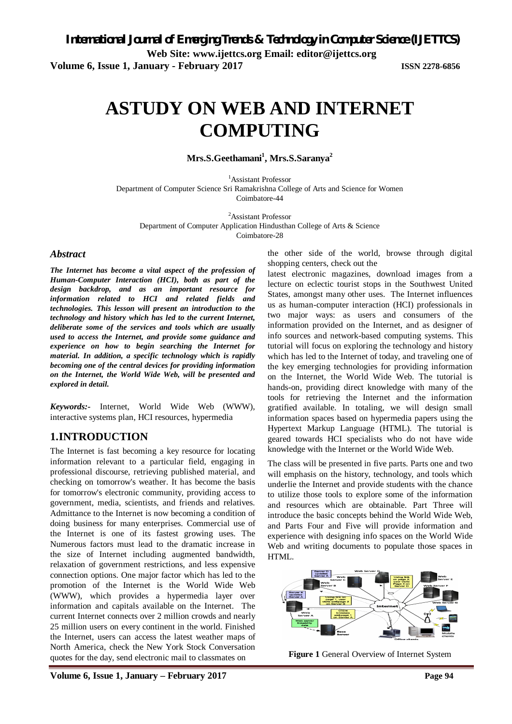# **ASTUDY ON WEB AND INTERNET COMPUTING**

**Mrs.S.Geethamani<sup>1</sup> , Mrs.S.Saranya<sup>2</sup>**

<sup>1</sup>Assistant Professor Department of Computer Science Sri Ramakrishna College of Arts and Science for Women Coimbatore-44

<sup>2</sup>Assistant Professor Department of Computer Application Hindusthan College of Arts & Science Coimbatore-28

# *Abstract*

*The Internet has become a vital aspect of the profession of Human-Computer Interaction (HCI), both as part of the design backdrop, and as an important resource for information related to HCI and related fields and technologies. This lesson will present an introduction to the technology and history which has led to the current Internet, deliberate some of the services and tools which are usually used to access the Internet, and provide some guidance and experience on how to begin searching the Internet for material. In addition, a specific technology which is rapidly becoming one of the central devices for providing information on the Internet, the World Wide Web, will be presented and explored in detail.* 

*Keywords:-* Internet, World Wide Web (WWW), interactive systems plan, HCI resources, hypermedia

# **1.INTRODUCTION**

The Internet is fast becoming a key resource for locating information relevant to a particular field, engaging in professional discourse, retrieving published material, and checking on tomorrow's weather. It has become the basis for tomorrow's electronic community, providing access to government, media, scientists, and friends and relatives. Admittance to the Internet is now becoming a condition of doing business for many enterprises. Commercial use of the Internet is one of its fastest growing uses. The Numerous factors must lead to the dramatic increase in the size of Internet including augmented bandwidth, relaxation of government restrictions, and less expensive connection options. One major factor which has led to the promotion of the Internet is the World Wide Web (WWW), which provides a hypermedia layer over information and capitals available on the Internet. The current Internet connects over 2 million crowds and nearly 25 million users on every continent in the world. Finished the Internet, users can access the latest weather maps of North America, check the New York Stock Conversation quotes for the day, send electronic mail to classmates on

the other side of the world, browse through digital shopping centers, check out the

latest electronic magazines, download images from a lecture on eclectic tourist stops in the Southwest United States, amongst many other uses. The Internet influences us as human-computer interaction (HCI) professionals in two major ways: as users and consumers of the information provided on the Internet, and as designer of info sources and network-based computing systems. This tutorial will focus on exploring the technology and history which has led to the Internet of today, and traveling one of the key emerging technologies for providing information on the Internet, the World Wide Web. The tutorial is hands-on, providing direct knowledge with many of the tools for retrieving the Internet and the information gratified available. In totaling, we will design small information spaces based on hypermedia papers using the Hypertext Markup Language (HTML). The tutorial is geared towards HCI specialists who do not have wide knowledge with the Internet or the World Wide Web.

The class will be presented in five parts. Parts one and two will emphasis on the history, technology, and tools which underlie the Internet and provide students with the chance to utilize those tools to explore some of the information and resources which are obtainable. Part Three will introduce the basic concepts behind the World Wide Web, and Parts Four and Five will provide information and experience with designing info spaces on the World Wide Web and writing documents to populate those spaces in HTML.



**Figure 1** General Overview of Internet System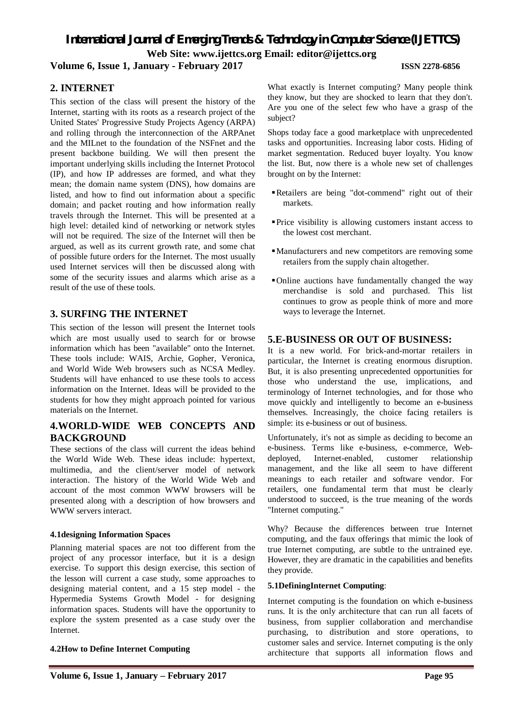# *International Journal of Emerging Trends & Technology in Computer Science (IJETTCS)* **Web Site: www.ijettcs.org Email: [editor@ijettcs.org](mailto:editor@ijettcs.org) Volume 6, Issue 1, January - February 2017 ISSN 2278-6856**

# **2. INTERNET**

This section of the class will present the history of the Internet, starting with its roots as a research project of the United States' Progressive Study Projects Agency (ARPA) and rolling through the interconnection of the ARPAnet and the MILnet to the foundation of the NSFnet and the present backbone building. We will then present the important underlying skills including the Internet Protocol (IP), and how IP addresses are formed, and what they mean; the domain name system (DNS), how domains are listed, and how to find out information about a specific domain; and packet routing and how information really travels through the Internet. This will be presented at a high level: detailed kind of networking or network styles will not be required. The size of the Internet will then be argued, as well as its current growth rate, and some chat of possible future orders for the Internet. The most usually used Internet services will then be discussed along with some of the security issues and alarms which arise as a result of the use of these tools.

# **3. SURFING THE INTERNET**

This section of the lesson will present the Internet tools which are most usually used to search for or browse information which has been "available" onto the Internet. These tools include: WAIS, Archie, Gopher, Veronica, and World Wide Web browsers such as NCSA Medley. Students will have enhanced to use these tools to access information on the Internet. Ideas will be provided to the students for how they might approach pointed for various materials on the Internet.

# **4.WORLD-WIDE WEB CONCEPTS AND BACKGROUND**

These sections of the class will current the ideas behind the World Wide Web. These ideas include: hypertext, multimedia, and the client/server model of network interaction. The history of the World Wide Web and account of the most common WWW browsers will be presented along with a description of how browsers and WWW servers interact.

# **4.1designing Information Spaces**

Planning material spaces are not too different from the project of any processor interface, but it is a design exercise. To support this design exercise, this section of the lesson will current a case study, some approaches to designing material content, and a 15 step model - the Hypermedia Systems Growth Model - for designing information spaces. Students will have the opportunity to explore the system presented as a case study over the Internet.

# **4.2How to Define Internet Computing**

What exactly is Internet computing? Many people think they know, but they are shocked to learn that they don't. Are you one of the select few who have a grasp of the subject?

Shops today face a good marketplace with unprecedented tasks and opportunities. Increasing labor costs. Hiding of market segmentation. Reduced buyer loyalty. You know the list. But, now there is a whole new set of challenges brought on by the Internet:

- Retailers are being "dot-commend" right out of their markets.
- Price visibility is allowing customers instant access to the lowest cost merchant.
- Manufacturers and new competitors are removing some retailers from the supply chain altogether.
- Online auctions have fundamentally changed the way merchandise is sold and purchased. This list continues to grow as people think of more and more ways to leverage the Internet.

# **5.E-BUSINESS OR OUT OF BUSINESS:**

It is a new world. For brick-and-mortar retailers in particular, the Internet is creating enormous disruption. But, it is also presenting unprecedented opportunities for those who understand the use, implications, and terminology of Internet technologies, and for those who move quickly and intelligently to become an e-business themselves. Increasingly, the choice facing retailers is simple: its e-business or out of business.

Unfortunately, it's not as simple as deciding to become an e-business. Terms like e-business, e-commerce, Webdeployed, Internet-enabled, customer relationship management, and the like all seem to have different meanings to each retailer and software vendor. For retailers, one fundamental term that must be clearly understood to succeed, is the true meaning of the words "Internet computing."

Why? Because the differences between true Internet computing, and the faux offerings that mimic the look of true Internet computing, are subtle to the untrained eye. However, they are dramatic in the capabilities and benefits they provide.

#### **5.1DefiningInternet Computing**:

Internet computing is the foundation on which e-business runs. It is the only architecture that can run all facets of business, from supplier collaboration and merchandise purchasing, to distribution and store operations, to customer sales and service. Internet computing is the only architecture that supports all information flows and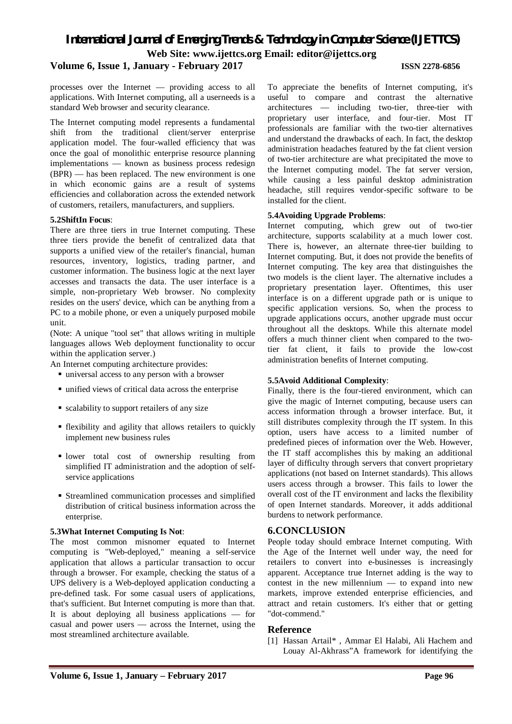# *International Journal of Emerging Trends & Technology in Computer Science (IJETTCS)* **Web Site: www.ijettcs.org Email: [editor@ijettcs.org](mailto:editor@ijettcs.org)**

# **Volume 6, Issue 1, January - February 2017 ISSN 2278-6856**

processes over the Internet — providing access to all applications. With Internet computing, all a userneeds is a standard Web browser and security clearance.

The Internet computing model represents a fundamental shift from the traditional client/server enterprise application model. The four-walled efficiency that was once the goal of monolithic enterprise resource planning implementations — known as business process redesign (BPR) — has been replaced. The new environment is one in which economic gains are a result of systems efficiencies and collaboration across the extended network of customers, retailers, manufacturers, and suppliers.

#### **5.2ShiftIn Focus**:

There are three tiers in true Internet computing. These three tiers provide the benefit of centralized data that supports a unified view of the retailer's financial, human resources, inventory, logistics, trading partner, and customer information. The business logic at the next layer accesses and transacts the data. The user interface is a simple, non-proprietary Web browser. No complexity resides on the users' device, which can be anything from a PC to a mobile phone, or even a uniquely purposed mobile unit.

(Note: A unique "tool set" that allows writing in multiple languages allows Web deployment functionality to occur within the application server.)

An Internet computing architecture provides:

- universal access to any person with a browser
- unified views of critical data across the enterprise
- $\blacksquare$  scalability to support retailers of any size
- flexibility and agility that allows retailers to quickly implement new business rules
- lower total cost of ownership resulting from simplified IT administration and the adoption of selfservice applications
- Streamlined communication processes and simplified distribution of critical business information across the enterprise.

#### **5.3What Internet Computing Is Not**:

The most common misnomer equated to Internet computing is "Web-deployed," meaning a self-service application that allows a particular transaction to occur through a browser. For example, checking the status of a UPS delivery is a Web-deployed application conducting a pre-defined task. For some casual users of applications, that's sufficient. But Internet computing is more than that. It is about deploying all business applications — for casual and power users — across the Internet, using the most streamlined architecture available.

To appreciate the benefits of Internet computing, it's useful to compare and contrast the alternative architectures — including two-tier, three-tier with proprietary user interface, and four-tier. Most IT professionals are familiar with the two-tier alternatives and understand the drawbacks of each. In fact, the desktop administration headaches featured by the fat client version of two-tier architecture are what precipitated the move to the Internet computing model. The fat server version, while causing a less painful desktop administration headache, still requires vendor-specific software to be installed for the client.

### **5.4Avoiding Upgrade Problems**:

Internet computing, which grew out of two-tier architecture, supports scalability at a much lower cost. There is, however, an alternate three-tier building to Internet computing. But, it does not provide the benefits of Internet computing. The key area that distinguishes the two models is the client layer. The alternative includes a proprietary presentation layer. Oftentimes, this user interface is on a different upgrade path or is unique to specific application versions. So, when the process to upgrade applications occurs, another upgrade must occur throughout all the desktops. While this alternate model offers a much thinner client when compared to the twotier fat client, it fails to provide the low-cost administration benefits of Internet computing.

#### **5.5Avoid Additional Complexity**:

Finally, there is the four-tiered environment, which can give the magic of Internet computing, because users can access information through a browser interface. But, it still distributes complexity through the IT system. In this option, users have access to a limited number of predefined pieces of information over the Web. However, the IT staff accomplishes this by making an additional layer of difficulty through servers that convert proprietary applications (not based on Internet standards). This allows users access through a browser. This fails to lower the overall cost of the IT environment and lacks the flexibility of open Internet standards. Moreover, it adds additional burdens to network performance.

# **6.CONCLUSION**

People today should embrace Internet computing. With the Age of the Internet well under way, the need for retailers to convert into e-businesses is increasingly apparent. Acceptance true Internet adding is the way to contest in the new millennium — to expand into new markets, improve extended enterprise efficiencies, and attract and retain customers. It's either that or getting "dot-commend."

# **Reference**

[1] Hassan Artail\* , Ammar El Halabi, Ali Hachem and Louay Al-Akhrass"A framework for identifying the